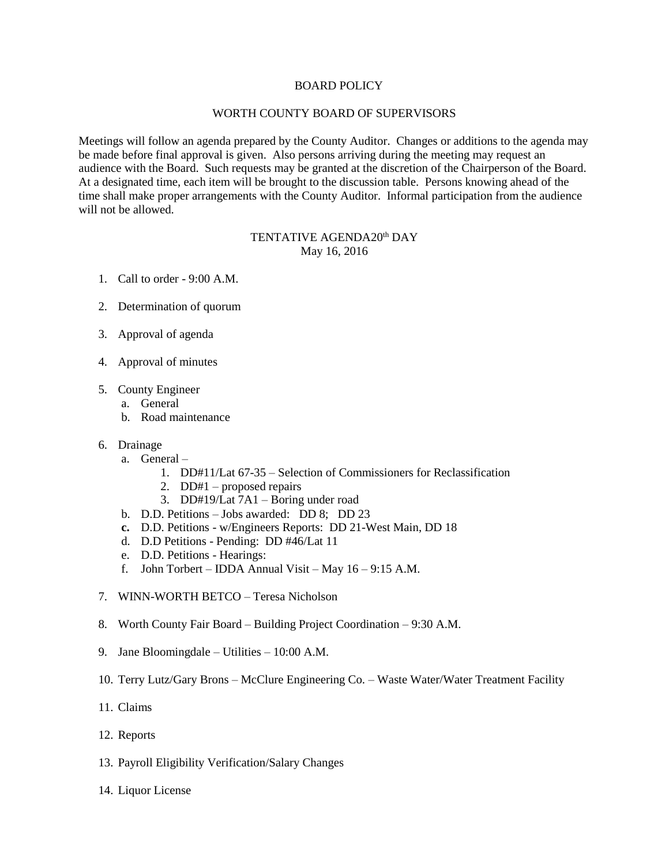### BOARD POLICY

# WORTH COUNTY BOARD OF SUPERVISORS

Meetings will follow an agenda prepared by the County Auditor. Changes or additions to the agenda may be made before final approval is given. Also persons arriving during the meeting may request an audience with the Board. Such requests may be granted at the discretion of the Chairperson of the Board. At a designated time, each item will be brought to the discussion table. Persons knowing ahead of the time shall make proper arrangements with the County Auditor. Informal participation from the audience will not be allowed.

# TENTATIVE AGENDA20<sup>th</sup> DAY May 16, 2016

- 1. Call to order 9:00 A.M.
- 2. Determination of quorum
- 3. Approval of agenda
- 4. Approval of minutes
- 5. County Engineer
	- a. General
	- b. Road maintenance
- 6. Drainage
	- a. General
		- 1. DD#11/Lat 67-35 Selection of Commissioners for Reclassification
		- 2. DD#1 proposed repairs
		- 3. DD#19/Lat 7A1 Boring under road
	- b. D.D. Petitions Jobs awarded: DD 8; DD 23
	- **c.** D.D. Petitions w/Engineers Reports: DD 21-West Main, DD 18
	- d. D.D Petitions Pending: DD #46/Lat 11
	- e. D.D. Petitions Hearings:
	- f. John Torbert IDDA Annual Visit May 16 9:15 A.M.
- 7. WINN-WORTH BETCO Teresa Nicholson
- 8. Worth County Fair Board Building Project Coordination 9:30 A.M.
- 9. Jane Bloomingdale Utilities 10:00 A.M.
- 10. Terry Lutz/Gary Brons McClure Engineering Co. Waste Water/Water Treatment Facility
- 11. Claims
- 12. Reports
- 13. Payroll Eligibility Verification/Salary Changes
- 14. Liquor License